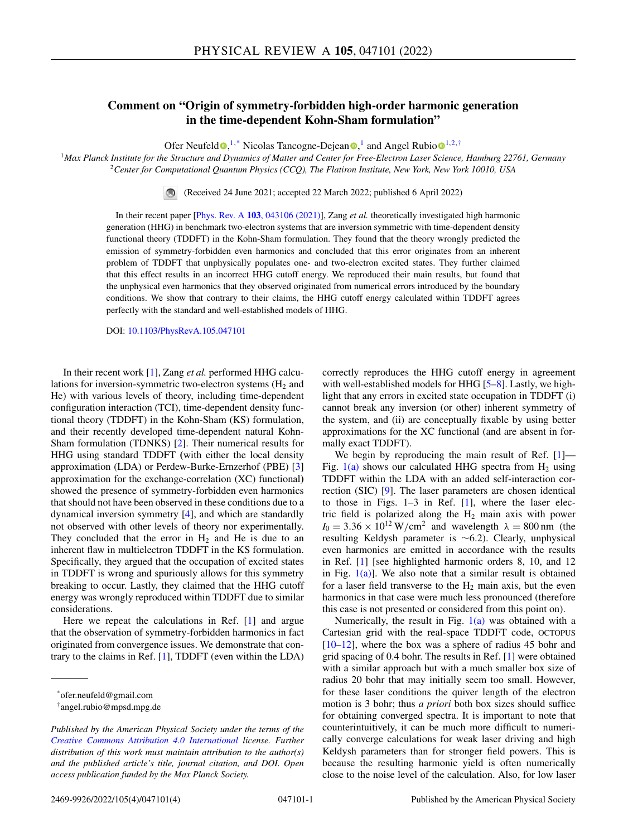## **Comment on "Origin of symmetry-forbidden high-order harmonic generation in the time-dependent Kohn-Sham formulation"**

Ofer Neufel[d](https://orcid.org/0000-0002-5477-2108)  $\bullet$ ,<sup>1,\*</sup> Nicolas Ta[n](https://orcid.org/0000-0003-1383-4824)c[o](https://orcid.org/0000-0003-2060-3151)gne-Dejean  $\bullet$ ,<sup>1</sup> and Angel Rubio  $\bullet$ <sup>1,2,†</sup>

<sup>1</sup>*Max Planck Institute for the Structure and Dynamics of Matter and Center for Free-Electron Laser Science, Hamburg 22761, Germany* <sup>2</sup>*Center for Computational Quantum Physics (CCQ), The Flatiron Institute, New York, New York 10010, USA*

(Received 24 June 2021; accepted 22 March 2022; published 6 April 2022)

In their recent paper [Phys. Rev. A **103**[, 043106 \(2021\)\]](https://doi.org/10.1103/PhysRevA.103.043106), Zang *et al.* theoretically investigated high harmonic generation (HHG) in benchmark two-electron systems that are inversion symmetric with time-dependent density functional theory (TDDFT) in the Kohn-Sham formulation. They found that the theory wrongly predicted the emission of symmetry-forbidden even harmonics and concluded that this error originates from an inherent problem of TDDFT that unphysically populates one- and two-electron excited states. They further claimed that this effect results in an incorrect HHG cutoff energy. We reproduced their main results, but found that the unphysical even harmonics that they observed originated from numerical errors introduced by the boundary conditions. We show that contrary to their claims, the HHG cutoff energy calculated within TDDFT agrees perfectly with the standard and well-established models of HHG.

DOI: [10.1103/PhysRevA.105.047101](https://doi.org/10.1103/PhysRevA.105.047101)

In their recent work [\[1\]](#page-3-0), Zang *et al.* performed HHG calculations for inversion-symmetric two-electron systems  $(H<sub>2</sub>$  and He) with various levels of theory, including time-dependent configuration interaction (TCI), time-dependent density functional theory (TDDFT) in the Kohn-Sham (KS) formulation, and their recently developed time-dependent natural Kohn-Sham formulation (TDNKS) [\[2\]](#page-3-0). Their numerical results for HHG using standard TDDFT **(**with either the local density approximation (LDA) or Perdew-Burke-Ernzerhof (PBE) [\[3\]](#page-3-0) approximation for the exchange-correlation (XC) functional**)** showed the presence of symmetry-forbidden even harmonics that should not have been observed in these conditions due to a dynamical inversion symmetry [\[4\]](#page-3-0), and which are standardly not observed with other levels of theory nor experimentally. They concluded that the error in  $H_2$  and He is due to an inherent flaw in multielectron TDDFT in the KS formulation. Specifically, they argued that the occupation of excited states in TDDFT is wrong and spuriously allows for this symmetry breaking to occur. Lastly, they claimed that the HHG cutoff energy was wrongly reproduced within TDDFT due to similar considerations.

Here we repeat the calculations in Ref. [\[1\]](#page-3-0) and argue that the observation of symmetry-forbidden harmonics in fact originated from convergence issues. We demonstrate that contrary to the claims in Ref. [\[1\]](#page-3-0), TDDFT (even within the LDA) correctly reproduces the HHG cutoff energy in agreement with well-established models for HHG  $[5–8]$ . Lastly, we highlight that any errors in excited state occupation in TDDFT (i) cannot break any inversion (or other) inherent symmetry of the system, and (ii) are conceptually fixable by using better approximations for the XC functional (and are absent in formally exact TDDFT).

We begin by reproducing the main result of Ref. [\[1\]](#page-3-0)— Fig.  $1(a)$  shows our calculated HHG spectra from  $H_2$  using TDDFT within the LDA with an added self-interaction correction (SIC) [\[9\]](#page-3-0). The laser parameters are chosen identical to those in Figs. 1–3 in Ref. [\[1\]](#page-3-0), where the laser electric field is polarized along the  $H_2$  main axis with power  $I_0 = 3.36 \times 10^{12} \,\text{W/cm}^2$  and wavelength  $\lambda = 800 \,\text{nm}$  (the resulting Keldysh parameter is ∼6.2). Clearly, unphysical even harmonics are emitted in accordance with the results in Ref. [\[1\]](#page-3-0) [see highlighted harmonic orders 8, 10, and 12 in Fig.  $1(a)$ ]. We also note that a similar result is obtained for a laser field transverse to the  $H_2$  main axis, but the even harmonics in that case were much less pronounced (therefore this case is not presented or considered from this point on).

Numerically, the result in Fig. [1\(a\)](#page-1-0) was obtained with a Cartesian grid with the real-space TDDFT code, OCTOPUS [\[10–12\]](#page-3-0), where the box was a sphere of radius 45 bohr and grid spacing of 0.4 bohr. The results in Ref. [\[1\]](#page-3-0) were obtained with a similar approach but with a much smaller box size of radius 20 bohr that may initially seem too small. However, for these laser conditions the quiver length of the electron motion is 3 bohr; thus *a priori* both box sizes should suffice for obtaining converged spectra. It is important to note that counterintuitively, it can be much more difficult to numerically converge calculations for weak laser driving and high Keldysh parameters than for stronger field powers. This is because the resulting harmonic yield is often numerically close to the noise level of the calculation. Also, for low laser

<sup>\*</sup>ofer.neufeld@gmail.com

<sup>†</sup>angel.rubio@mpsd.mpg.de

*Published by the American Physical Society under the terms of the [Creative Commons Attribution 4.0 International](https://creativecommons.org/licenses/by/4.0/) license. Further distribution of this work must maintain attribution to the author(s) and the published article's title, journal citation, and DOI. Open access publication funded by the Max Planck Society.*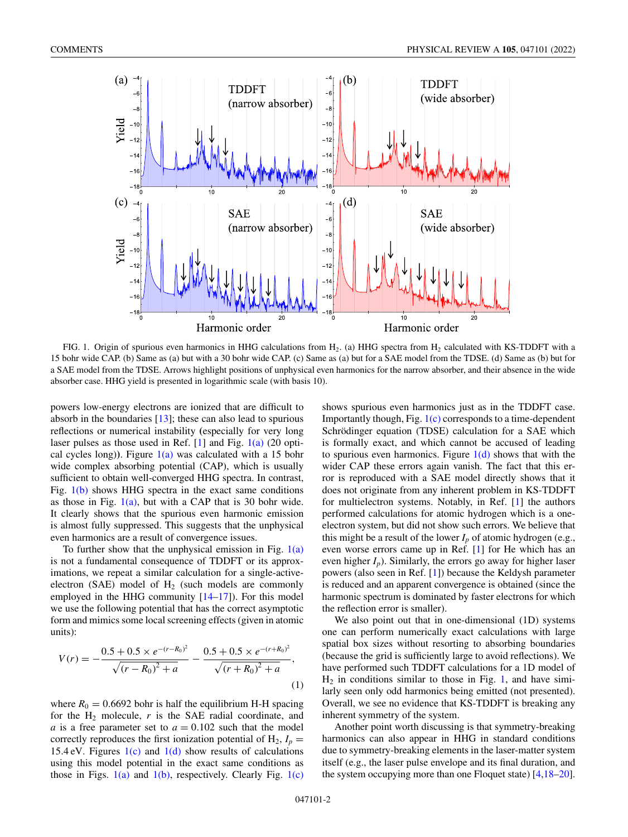<span id="page-1-0"></span>

FIG. 1. Origin of spurious even harmonics in HHG calculations from  $H_2$ . (a) HHG spectra from  $H_2$  calculated with KS-TDDFT with a 15 bohr wide CAP. (b) Same as (a) but with a 30 bohr wide CAP. (c) Same as (a) but for a SAE model from the TDSE. (d) Same as (b) but for a SAE model from the TDSE. Arrows highlight positions of unphysical even harmonics for the narrow absorber, and their absence in the wide absorber case. HHG yield is presented in logarithmic scale (with basis 10).

powers low-energy electrons are ionized that are difficult to absorb in the boundaries  $[13]$ ; these can also lead to spurious reflections or numerical instability **(**especially for very long laser pulses as those used in Ref.  $[1]$  and Fig.  $1(a)$  (20 optical cycles long)). Figure  $1(a)$  was calculated with a 15 bohr wide complex absorbing potential (CAP), which is usually sufficient to obtain well-converged HHG spectra. In contrast, Fig.  $1(b)$  shows HHG spectra in the exact same conditions as those in Fig.  $1(a)$ , but with a CAP that is 30 bohr wide. It clearly shows that the spurious even harmonic emission is almost fully suppressed. This suggests that the unphysical even harmonics are a result of convergence issues.

To further show that the unphysical emission in Fig.  $1(a)$ is not a fundamental consequence of TDDFT or its approximations, we repeat a similar calculation for a single-activeelectron (SAE) model of  $H<sub>2</sub>$  (such models are commonly employed in the HHG community [\[14–17\]](#page-3-0)). For this model we use the following potential that has the correct asymptotic form and mimics some local screening effects (given in atomic units):

$$
V(r) = -\frac{0.5 + 0.5 \times e^{-(r - R_0)^2}}{\sqrt{(r - R_0)^2 + a}} - \frac{0.5 + 0.5 \times e^{-(r + R_0)^2}}{\sqrt{(r + R_0)^2 + a}},
$$
\n(1)

where  $R_0 = 0.6692$  bohr is half the equilibrium H-H spacing for the  $H_2$  molecule,  $r$  is the SAE radial coordinate, and *a* is a free parameter set to  $a = 0.102$  such that the model correctly reproduces the first ionization potential of  $H_2$ ,  $I_p$  = 15.4 eV. Figures  $1(c)$  and  $1(d)$  show results of calculations using this model potential in the exact same conditions as those in Figs.  $1(a)$  and  $1(b)$ , respectively. Clearly Fig.  $1(c)$ 

shows spurious even harmonics just as in the TDDFT case. Importantly though, Fig. 1(c) corresponds to a time-dependent Schrödinger equation (TDSE) calculation for a SAE which is formally exact, and which cannot be accused of leading to spurious even harmonics. Figure  $1(d)$  shows that with the wider CAP these errors again vanish. The fact that this error is reproduced with a SAE model directly shows that it does not originate from any inherent problem in KS-TDDFT for multielectron systems. Notably, in Ref. [\[1\]](#page-3-0) the authors performed calculations for atomic hydrogen which is a oneelectron system, but did not show such errors. We believe that this might be a result of the lower  $I_p$  of atomic hydrogen (e.g., even worse errors came up in Ref. [\[1\]](#page-3-0) for He which has an even higher  $I_p$ ). Similarly, the errors go away for higher laser powers (also seen in Ref. [\[1\]](#page-3-0)) because the Keldysh parameter is reduced and an apparent convergence is obtained (since the harmonic spectrum is dominated by faster electrons for which the reflection error is smaller).

We also point out that in one-dimensional (1D) systems one can perform numerically exact calculations with large spatial box sizes without resorting to absorbing boundaries (because the grid is sufficiently large to avoid reflections). We have performed such TDDFT calculations for a 1D model of  $H_2$  in conditions similar to those in Fig. 1, and have similarly seen only odd harmonics being emitted (not presented). Overall, we see no evidence that KS-TDDFT is breaking any inherent symmetry of the system.

Another point worth discussing is that symmetry-breaking harmonics can also appear in HHG in standard conditions due to symmetry-breaking elements in the laser-matter system itself (e.g., the laser pulse envelope and its final duration, and the system occupying more than one Floquet state) [\[4,18–20\]](#page-3-0).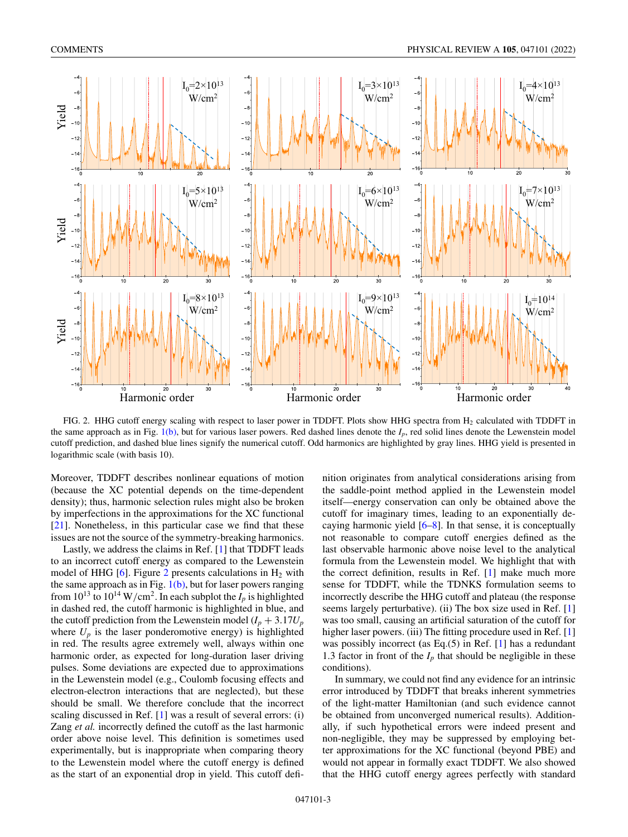

FIG. 2. HHG cutoff energy scaling with respect to laser power in TDDFT. Plots show HHG spectra from H<sub>2</sub> calculated with TDDFT in the same approach as in Fig. [1\(b\),](#page-1-0) but for various laser powers. Red dashed lines denote the *Ip*, red solid lines denote the Lewenstein model cutoff prediction, and dashed blue lines signify the numerical cutoff. Odd harmonics are highlighted by gray lines. HHG yield is presented in logarithmic scale (with basis 10).

Moreover, TDDFT describes nonlinear equations of motion (because the XC potential depends on the time-dependent density); thus, harmonic selection rules might also be broken by imperfections in the approximations for the XC functional [\[21\]](#page-3-0). Nonetheless, in this particular case we find that these issues are not the source of the symmetry-breaking harmonics.

Lastly, we address the claims in Ref. [\[1\]](#page-3-0) that TDDFT leads to an incorrect cutoff energy as compared to the Lewenstein model of HHG  $[6]$ . Figure 2 presents calculations in  $H_2$  with the same approach as in Fig.  $1(b)$ , but for laser powers ranging from  $10^{13}$  to  $10^{14}$  W/cm<sup>2</sup>. In each subplot the  $I_p$  is highlighted in dashed red, the cutoff harmonic is highlighted in blue, and the cutoff prediction from the Lewenstein model  $(I_p + 3.17U_p)$ where  $U_p$  is the laser ponderomotive energy) is highlighted in red. The results agree extremely well, always within one harmonic order, as expected for long-duration laser driving pulses. Some deviations are expected due to approximations in the Lewenstein model (e.g., Coulomb focusing effects and electron-electron interactions that are neglected), but these should be small. We therefore conclude that the incorrect scaling discussed in Ref. [\[1\]](#page-3-0) was a result of several errors: (i) Zang *et al.* incorrectly defined the cutoff as the last harmonic order above noise level. This definition is sometimes used experimentally, but is inappropriate when comparing theory to the Lewenstein model where the cutoff energy is defined as the start of an exponential drop in yield. This cutoff definition originates from analytical considerations arising from the saddle-point method applied in the Lewenstein model itself—energy conservation can only be obtained above the cutoff for imaginary times, leading to an exponentially decaying harmonic yield [\[6–8\]](#page-3-0). In that sense, it is conceptually not reasonable to compare cutoff energies defined as the last observable harmonic above noise level to the analytical formula from the Lewenstein model. We highlight that with the correct definition, results in Ref. [\[1\]](#page-3-0) make much more sense for TDDFT, while the TDNKS formulation seems to incorrectly describe the HHG cutoff and plateau (the response seems largely perturbative). (ii) The box size used in Ref. [\[1\]](#page-3-0) was too small, causing an artificial saturation of the cutoff for higher laser powers. (iii) The fitting procedure used in Ref. [\[1\]](#page-3-0) was possibly incorrect **(**as Eq.(5) in Ref. [\[1\]](#page-3-0) has a redundant 1.3 factor in front of the  $I_p$  that should be negligible in these conditions).

In summary, we could not find any evidence for an intrinsic error introduced by TDDFT that breaks inherent symmetries of the light-matter Hamiltonian (and such evidence cannot be obtained from unconverged numerical results). Additionally, if such hypothetical errors were indeed present and non-negligible, they may be suppressed by employing better approximations for the XC functional (beyond PBE) and would not appear in formally exact TDDFT. We also showed that the HHG cutoff energy agrees perfectly with standard